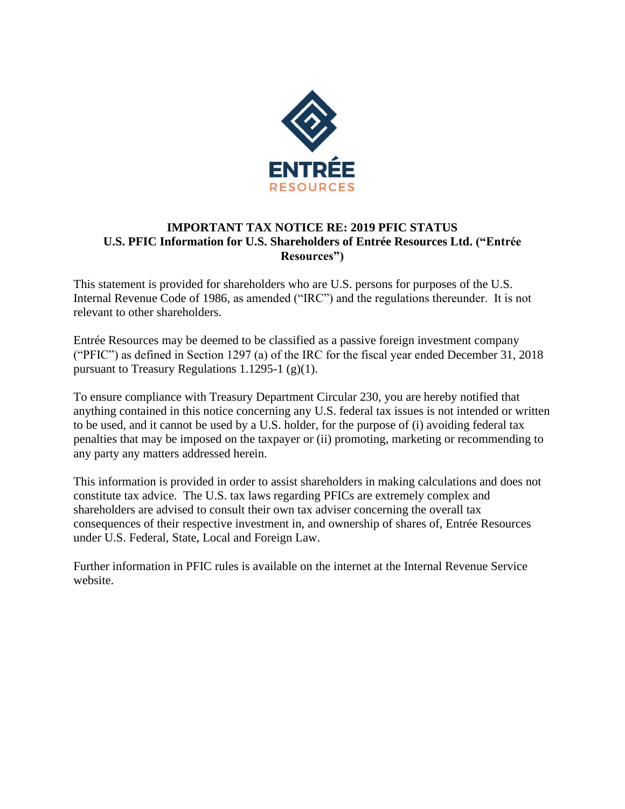

## **IMPORTANT TAX NOTICE RE: 2019 PFIC STATUS U.S. PFIC Information for U.S. Shareholders of Entrée Resources Ltd. ("Entrée Resources")**

This statement is provided for shareholders who are U.S. persons for purposes of the U.S. Internal Revenue Code of 1986, as amended ("IRC") and the regulations thereunder. It is not relevant to other shareholders.

Entrée Resources may be deemed to be classified as a passive foreign investment company ("PFIC") as defined in Section 1297 (a) of the IRC for the fiscal year ended December 31, 2018 pursuant to Treasury Regulations 1.1295-1  $(g)(1)$ .

To ensure compliance with Treasury Department Circular 230, you are hereby notified that anything contained in this notice concerning any U.S. federal tax issues is not intended or written to be used, and it cannot be used by a U.S. holder, for the purpose of (i) avoiding federal tax penalties that may be imposed on the taxpayer or (ii) promoting, marketing or recommending to any party any matters addressed herein.

This information is provided in order to assist shareholders in making calculations and does not constitute tax advice. The U.S. tax laws regarding PFICs are extremely complex and shareholders are advised to consult their own tax adviser concerning the overall tax consequences of their respective investment in, and ownership of shares of, Entrée Resources under U.S. Federal, State, Local and Foreign Law.

Further information in PFIC rules is available on the internet at the Internal Revenue Service website.